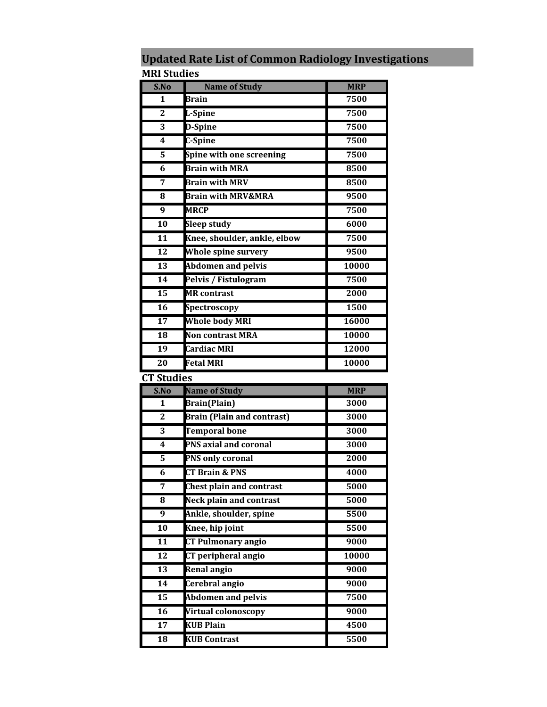| S.No                    | <b>Name of Study</b>              | <b>MRP</b> |
|-------------------------|-----------------------------------|------------|
| 1                       | Brain                             | 7500       |
| $\overline{2}$          | L-Spine                           | 7500       |
| 3                       | D-Spine                           | 7500       |
| 4                       | C-Spine                           | 7500       |
| 5                       | Spine with one screening          | 7500       |
| 6                       | <b>Brain with MRA</b>             | 8500       |
| 7                       | <b>Brain with MRV</b>             | 8500       |
| 8                       | <b>Brain with MRV&amp;MRA</b>     | 9500       |
| 9                       | <b>MRCP</b>                       | 7500       |
| $\overline{10}$         | <b>Sleep study</b>                | 6000       |
| 11                      | Knee, shoulder, ankle, elbow      | 7500       |
| $\overline{12}$         | <b>Whole spine survery</b>        | 9500       |
| 13                      | <b>Abdomen and pelvis</b>         | 10000      |
| 14                      | Pelvis / Fistulogram              | 7500       |
| $\overline{15}$         | <b>MR</b> contrast                | 2000       |
| $\overline{16}$         | Spectroscopy                      | 1500       |
| 17                      | <b>Whole body MRI</b>             | 16000      |
| 18                      | Non contrast MRA                  | 10000      |
| 19                      | <b>Cardiac MRI</b>                | 12000      |
| $\overline{20}$         | <b>Fetal MRI</b>                  | 10000      |
|                         |                                   |            |
|                         |                                   |            |
| S.No                    | <b>Name of Study</b>              | <b>MRP</b> |
| 1                       | <b>Brain</b> (Plain)              | 3000       |
| $\overline{2}$          | <b>Brain (Plain and contrast)</b> | 3000       |
| 3                       | <b>Temporal bone</b>              | 3000       |
| 4                       | PNS axial and coronal             | 3000       |
| 5                       | <b>PNS only coronal</b>           | 2000       |
| 6                       | <b>CT Brain &amp; PNS</b>         | 4000       |
| $\overline{7}$          | <b>Chest plain and contrast</b>   | 5000       |
| 8                       | <b>Neck plain and contrast</b>    | 5000       |
| 9                       | Ankle, shoulder, spine            | 5500       |
| $\overline{10}$         | Knee, hip joint                   | 5500       |
| 11                      | <b>CT Pulmonary angio</b>         | 9000       |
| 12                      | <b>CT</b> peripheral angio        | 10000      |
| 13                      | <b>Renal angio</b>                | 9000       |
| <b>CT Studies</b><br>14 | Cerebral angio                    | 9000       |
| 15                      | <b>Abdomen and pelvis</b>         | 7500       |
| 16                      | Virtual colonoscopy               | 9000       |
| $\overline{17}$         | <b>KUB Plain</b>                  | 4500       |

**Updated Rate List of Common Radiology Investigations MRI Studies**